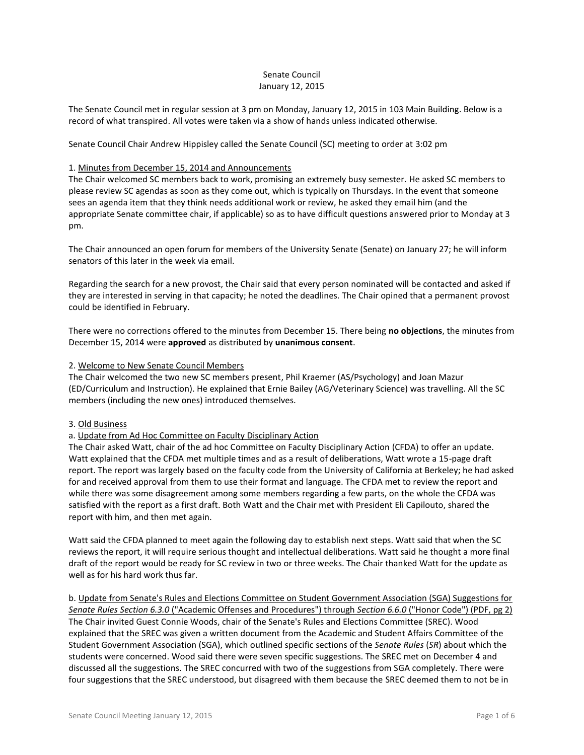## Senate Council January 12, 2015

The Senate Council met in regular session at 3 pm on Monday, January 12, 2015 in 103 Main Building. Below is a record of what transpired. All votes were taken via a show of hands unless indicated otherwise.

Senate Council Chair Andrew Hippisley called the Senate Council (SC) meeting to order at 3:02 pm

### 1. Minutes from December 15, 2014 and Announcements

The Chair welcomed SC members back to work, promising an extremely busy semester. He asked SC members to please review SC agendas as soon as they come out, which is typically on Thursdays. In the event that someone sees an agenda item that they think needs additional work or review, he asked they email him (and the appropriate Senate committee chair, if applicable) so as to have difficult questions answered prior to Monday at 3 pm.

The Chair announced an open forum for members of the University Senate (Senate) on January 27; he will inform senators of this later in the week via email.

Regarding the search for a new provost, the Chair said that every person nominated will be contacted and asked if they are interested in serving in that capacity; he noted the deadlines. The Chair opined that a permanent provost could be identified in February.

There were no corrections offered to the minutes from December 15. There being **no objections**, the minutes from December 15, 2014 were **approved** as distributed by **unanimous consent**.

### 2. Welcome to New Senate Council Members

The Chair welcomed the two new SC members present, Phil Kraemer (AS/Psychology) and Joan Mazur (ED/Curriculum and Instruction). He explained that Ernie Bailey (AG/Veterinary Science) was travelling. All the SC members (including the new ones) introduced themselves.

#### 3. Old Business

#### a. Update from Ad Hoc Committee on Faculty Disciplinary Action

The Chair asked Watt, chair of the ad hoc Committee on Faculty Disciplinary Action (CFDA) to offer an update. Watt explained that the CFDA met multiple times and as a result of deliberations, Watt wrote a 15-page draft report. The report was largely based on the faculty code from the University of California at Berkeley; he had asked for and received approval from them to use their format and language. The CFDA met to review the report and while there was some disagreement among some members regarding a few parts, on the whole the CFDA was satisfied with the report as a first draft. Both Watt and the Chair met with President Eli Capilouto, shared the report with him, and then met again.

Watt said the CFDA planned to meet again the following day to establish next steps. Watt said that when the SC reviews the report, it will require serious thought and intellectual deliberations. Watt said he thought a more final draft of the report would be ready for SC review in two or three weeks. The Chair thanked Watt for the update as well as for his hard work thus far.

## b. Update from Senate's Rules and Elections Committee on Student Government Association (SGA) Suggestions for *Senate Rules Section 6.3.0* ("Academic Offenses and Procedures") through *Section 6.6.0* ("Honor Code") (PDF, pg 2)

The Chair invited Guest Connie Woods, chair of the Senate's Rules and Elections Committee (SREC). Wood explained that the SREC was given a written document from the Academic and Student Affairs Committee of the Student Government Association (SGA), which outlined specific sections of the *Senate Rules* (*SR*) about which the students were concerned. Wood said there were seven specific suggestions. The SREC met on December 4 and discussed all the suggestions. The SREC concurred with two of the suggestions from SGA completely. There were four suggestions that the SREC understood, but disagreed with them because the SREC deemed them to not be in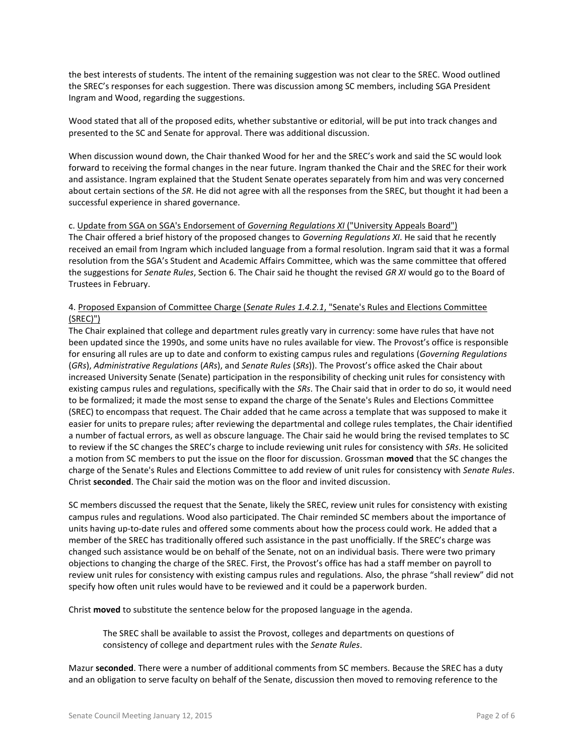the best interests of students. The intent of the remaining suggestion was not clear to the SREC. Wood outlined the SREC's responses for each suggestion. There was discussion among SC members, including SGA President Ingram and Wood, regarding the suggestions.

Wood stated that all of the proposed edits, whether substantive or editorial, will be put into track changes and presented to the SC and Senate for approval. There was additional discussion.

When discussion wound down, the Chair thanked Wood for her and the SREC's work and said the SC would look forward to receiving the formal changes in the near future. Ingram thanked the Chair and the SREC for their work and assistance. Ingram explained that the Student Senate operates separately from him and was very concerned about certain sections of the *SR*. He did not agree with all the responses from the SREC, but thought it had been a successful experience in shared governance.

#### c. Update from SGA on SGA's Endorsement of *Governing Regulations XI* ("University Appeals Board")

The Chair offered a brief history of the proposed changes to *Governing Regulations XI*. He said that he recently received an email from Ingram which included language from a formal resolution. Ingram said that it was a formal resolution from the SGA's Student and Academic Affairs Committee, which was the same committee that offered the suggestions for *Senate Rules*, Section 6. The Chair said he thought the revised *GR XI* would go to the Board of Trustees in February.

## 4. Proposed Expansion of Committee Charge (*Senate Rules 1.4.2.1*, "Senate's Rules and Elections Committee (SREC)")

The Chair explained that college and department rules greatly vary in currency: some have rules that have not been updated since the 1990s, and some units have no rules available for view. The Provost's office is responsible for ensuring all rules are up to date and conform to existing campus rules and regulations (*Governing Regulations* (*GRs*), *Administrative Regulations* (*ARs*), and *Senate Rules* (*SRs*)). The Provost's office asked the Chair about increased University Senate (Senate) participation in the responsibility of checking unit rules for consistency with existing campus rules and regulations, specifically with the *SRs*. The Chair said that in order to do so, it would need to be formalized; it made the most sense to expand the charge of the Senate's Rules and Elections Committee (SREC) to encompass that request. The Chair added that he came across a template that was supposed to make it easier for units to prepare rules; after reviewing the departmental and college rules templates, the Chair identified a number of factual errors, as well as obscure language. The Chair said he would bring the revised templates to SC to review if the SC changes the SREC's charge to include reviewing unit rules for consistency with *SRs*. He solicited a motion from SC members to put the issue on the floor for discussion. Grossman **moved** that the SC changes the charge of the Senate's Rules and Elections Committee to add review of unit rules for consistency with *Senate Rules*. Christ **seconded**. The Chair said the motion was on the floor and invited discussion.

SC members discussed the request that the Senate, likely the SREC, review unit rules for consistency with existing campus rules and regulations. Wood also participated. The Chair reminded SC members about the importance of units having up-to-date rules and offered some comments about how the process could work. He added that a member of the SREC has traditionally offered such assistance in the past unofficially. If the SREC's charge was changed such assistance would be on behalf of the Senate, not on an individual basis. There were two primary objections to changing the charge of the SREC. First, the Provost's office has had a staff member on payroll to review unit rules for consistency with existing campus rules and regulations. Also, the phrase "shall review" did not specify how often unit rules would have to be reviewed and it could be a paperwork burden.

Christ **moved** to substitute the sentence below for the proposed language in the agenda.

The SREC shall be available to assist the Provost, colleges and departments on questions of consistency of college and department rules with the *Senate Rules*.

Mazur **seconded**. There were a number of additional comments from SC members. Because the SREC has a duty and an obligation to serve faculty on behalf of the Senate, discussion then moved to removing reference to the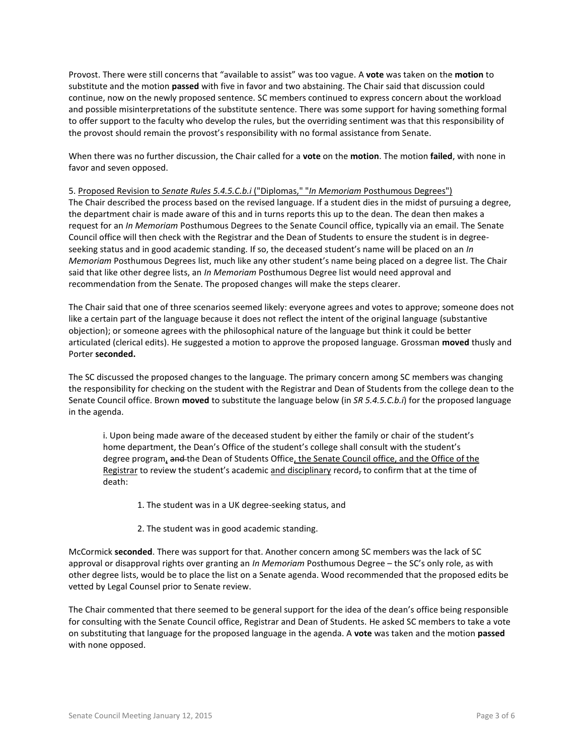Provost. There were still concerns that "available to assist" was too vague. A **vote** was taken on the **motion** to substitute and the motion **passed** with five in favor and two abstaining. The Chair said that discussion could continue, now on the newly proposed sentence. SC members continued to express concern about the workload and possible misinterpretations of the substitute sentence. There was some support for having something formal to offer support to the faculty who develop the rules, but the overriding sentiment was that this responsibility of the provost should remain the provost's responsibility with no formal assistance from Senate.

When there was no further discussion, the Chair called for a **vote** on the **motion**. The motion **failed**, with none in favor and seven opposed.

#### 5. Proposed Revision to *Senate Rules 5.4.5.C.b.i* ("Diplomas," "*In Memoriam* Posthumous Degrees")

The Chair described the process based on the revised language. If a student dies in the midst of pursuing a degree, the department chair is made aware of this and in turns reports this up to the dean. The dean then makes a request for an *In Memoriam* Posthumous Degrees to the Senate Council office, typically via an email. The Senate Council office will then check with the Registrar and the Dean of Students to ensure the student is in degreeseeking status and in good academic standing. If so, the deceased student's name will be placed on an *In Memoriam* Posthumous Degrees list, much like any other student's name being placed on a degree list. The Chair said that like other degree lists, an *In Memoriam* Posthumous Degree list would need approval and recommendation from the Senate. The proposed changes will make the steps clearer.

The Chair said that one of three scenarios seemed likely: everyone agrees and votes to approve; someone does not like a certain part of the language because it does not reflect the intent of the original language (substantive objection); or someone agrees with the philosophical nature of the language but think it could be better articulated (clerical edits). He suggested a motion to approve the proposed language. Grossman **moved** thusly and Porter **seconded.** 

The SC discussed the proposed changes to the language. The primary concern among SC members was changing the responsibility for checking on the student with the Registrar and Dean of Students from the college dean to the Senate Council office. Brown **moved** to substitute the language below (in *SR 5.4.5.C.b.i*) for the proposed language in the agenda.

i. Upon being made aware of the deceased student by either the family or chair of the student's home department, the Dean's Office of the student's college shall consult with the student's degree program, and the Dean of Students Office, the Senate Council office, and the Office of the Registrar to review the student's academic and disciplinary record, to confirm that at the time of death:

- 1. The student was in a UK degree-seeking status, and
- 2. The student was in good academic standing.

McCormick **seconded**. There was support for that. Another concern among SC members was the lack of SC approval or disapproval rights over granting an *In Memoriam* Posthumous Degree – the SC's only role, as with other degree lists, would be to place the list on a Senate agenda. Wood recommended that the proposed edits be vetted by Legal Counsel prior to Senate review.

The Chair commented that there seemed to be general support for the idea of the dean's office being responsible for consulting with the Senate Council office, Registrar and Dean of Students. He asked SC members to take a vote on substituting that language for the proposed language in the agenda. A **vote** was taken and the motion **passed** with none opposed.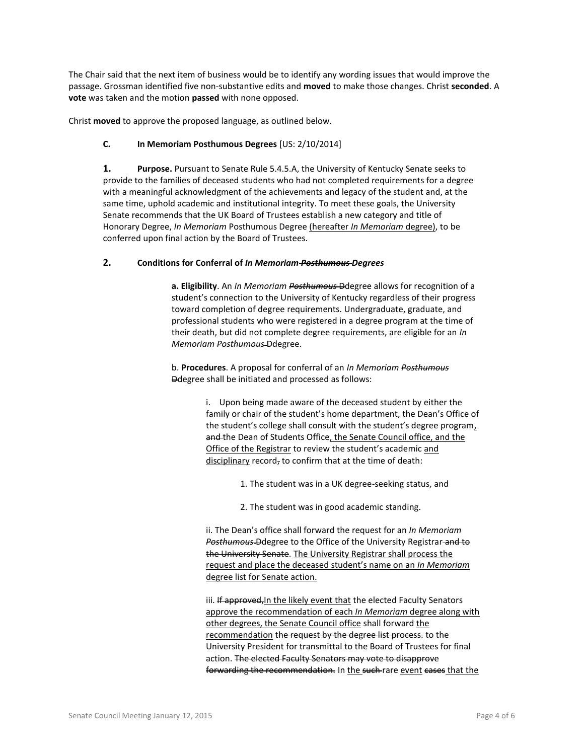The Chair said that the next item of business would be to identify any wording issues that would improve the passage. Grossman identified five non-substantive edits and **moved** to make those changes. Christ **seconded**. A **vote** was taken and the motion **passed** with none opposed.

Christ **moved** to approve the proposed language, as outlined below.

# **C. In Memoriam Posthumous Degrees** [US: 2/10/2014]

**1. Purpose.** Pursuant to Senate Rule 5.4.5.A, the University of Kentucky Senate seeks to provide to the families of deceased students who had not completed requirements for a degree with a meaningful acknowledgment of the achievements and legacy of the student and, at the same time, uphold academic and institutional integrity. To meet these goals, the University Senate recommends that the UK Board of Trustees establish a new category and title of Honorary Degree, *In Memoriam* Posthumous Degree (hereafter *In Memoriam* degree), to be conferred upon final action by the Board of Trustees.

## **2. Conditions for Conferral of** *In Memoriam Posthumous Degrees*

**a. Eligibility**. An *In Memoriam Posthumous* Ddegree allows for recognition of a student's connection to the University of Kentucky regardless of their progress toward completion of degree requirements. Undergraduate, graduate, and professional students who were registered in a degree program at the time of their death, but did not complete degree requirements, are eligible for an *In Memoriam Posthumous* Ddegree.

b. **Procedures**. A proposal for conferral of an *In Memoriam Posthumous* Ddegree shall be initiated and processed as follows:

> i. Upon being made aware of the deceased student by either the family or chair of the student's home department, the Dean's Office of the student's college shall consult with the student's degree program, and the Dean of Students Office, the Senate Council office, and the Office of the Registrar to review the student's academic and disciplinary record, to confirm that at the time of death:

> > 1. The student was in a UK degree-seeking status, and

2. The student was in good academic standing.

ii. The Dean's office shall forward the request for an *In Memoriam*  **Posthumous Ddegree to the Office of the University Registrar-and to** the University Senate. The University Registrar shall process the request and place the deceased student's name on an *In Memoriam* degree list for Senate action.

iii. If approved, In the likely event that the elected Faculty Senators approve the recommendation of each *In Memoriam* degree along with other degrees, the Senate Council office shall forward the recommendation the request by the degree list process. to the University President for transmittal to the Board of Trustees for final action. The elected Faculty Senators may vote to disapprove forwarding the recommendation. In the such rare event cases that the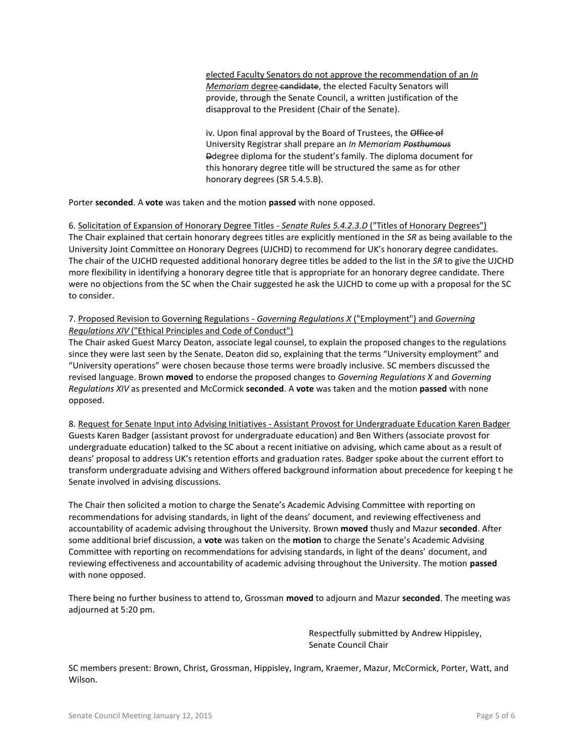elected Faculty Senators do not approve the recommendation of an *In Memoriam* degree candidate, the elected Faculty Senators will provide, through the Senate Council, a written justification of the disapproval to the President (Chair of the Senate).

iv. Upon final approval by the Board of Trustees, the Office of University Registrar shall prepare an *In Memoriam Posthumous* Ddegree diploma for the student's family. The diploma document for this honorary degree title will be structured the same as for other honorary degrees (SR 5.4.5.B).

Porter **seconded**. A **vote** was taken and the motion **passed** with none opposed.

6. Solicitation of Expansion of Honorary Degree Titles - *Senate Rules 5.4.2.3.D* ("Titles of Honorary Degrees") The Chair explained that certain honorary degrees titles are explicitly mentioned in the *SR* as being available to the University Joint Committee on Honorary Degrees (UJCHD) to recommend for UK's honorary degree candidates. The chair of the UJCHD requested additional honorary degree titles be added to the list in the *SR* to give the UJCHD more flexibility in identifying a honorary degree title that is appropriate for an honorary degree candidate. There were no objections from the SC when the Chair suggested he ask the UJCHD to come up with a proposal for the SC to consider.

## 7. Proposed Revision to Governing Regulations - *Governing Regulations X* ("Employment") and *Governing Regulations XIV* ("Ethical Principles and Code of Conduct")

The Chair asked Guest Marcy Deaton, associate legal counsel, to explain the proposed changes to the regulations since they were last seen by the Senate. Deaton did so, explaining that the terms "University employment" and "University operations" were chosen because those terms were broadly inclusive. SC members discussed the revised language. Brown **moved** to endorse the proposed changes to *Governing Regulations X* and *Governing Regulations XIV* as presented and McCormick **seconded**. A **vote** was taken and the motion **passed** with none opposed.

8. Request for Senate Input into Advising Initiatives - Assistant Provost for Undergraduate Education Karen Badger Guests Karen Badger (assistant provost for undergraduate education) and Ben Withers (associate provost for undergraduate education) talked to the SC about a recent initiative on advising, which came about as a result of deans' proposal to address UK's retention efforts and graduation rates. Badger spoke about the current effort to transform undergraduate advising and Withers offered background information about precedence for keeping t he Senate involved in advising discussions.

The Chair then solicited a motion to charge the Senate's Academic Advising Committee with reporting on recommendations for advising standards, in light of the deans' document, and reviewing effectiveness and accountability of academic advising throughout the University. Brown **moved** thusly and Mazur **seconded**. After some additional brief discussion, a **vote** was taken on the **motion** to charge the Senate's Academic Advising Committee with reporting on recommendations for advising standards, in light of the deans' document, and reviewing effectiveness and accountability of academic advising throughout the University. The motion **passed** with none opposed.

There being no further business to attend to, Grossman **moved** to adjourn and Mazur **seconded**. The meeting was adjourned at 5:20 pm.

> Respectfully submitted by Andrew Hippisley, Senate Council Chair

SC members present: Brown, Christ, Grossman, Hippisley, Ingram, Kraemer, Mazur, McCormick, Porter, Watt, and Wilson.